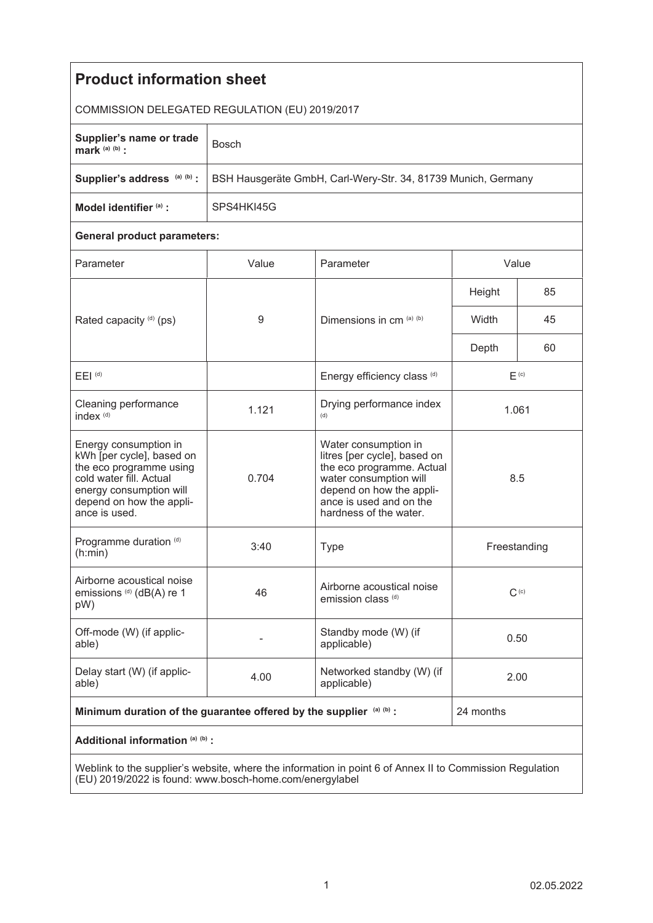| <b>Product information sheet</b>                                                                                                                                                 |                                                               |                                                                                                                                                                                              |                  |    |
|----------------------------------------------------------------------------------------------------------------------------------------------------------------------------------|---------------------------------------------------------------|----------------------------------------------------------------------------------------------------------------------------------------------------------------------------------------------|------------------|----|
| COMMISSION DELEGATED REGULATION (EU) 2019/2017                                                                                                                                   |                                                               |                                                                                                                                                                                              |                  |    |
| Supplier's name or trade<br>mark $(a)$ $(b)$ :                                                                                                                                   | <b>Bosch</b>                                                  |                                                                                                                                                                                              |                  |    |
| Supplier's address (a) (b) :                                                                                                                                                     | BSH Hausgeräte GmbH, Carl-Wery-Str. 34, 81739 Munich, Germany |                                                                                                                                                                                              |                  |    |
| Model identifier (a) :                                                                                                                                                           | SPS4HKI45G                                                    |                                                                                                                                                                                              |                  |    |
| <b>General product parameters:</b>                                                                                                                                               |                                                               |                                                                                                                                                                                              |                  |    |
| Parameter                                                                                                                                                                        | Value                                                         | Parameter                                                                                                                                                                                    | Value            |    |
| Rated capacity (d) (ps)                                                                                                                                                          | 9                                                             | Dimensions in cm (a) (b)                                                                                                                                                                     | Height           | 85 |
|                                                                                                                                                                                  |                                                               |                                                                                                                                                                                              | Width            | 45 |
|                                                                                                                                                                                  |                                                               |                                                                                                                                                                                              | Depth            | 60 |
| $E EI$ <sup>(d)</sup>                                                                                                                                                            |                                                               | Energy efficiency class (d)                                                                                                                                                                  | F <sub>(c)</sub> |    |
| Cleaning performance<br>index <sup>(d)</sup>                                                                                                                                     | 1.121                                                         | Drying performance index<br>(d)                                                                                                                                                              | 1.061            |    |
| Energy consumption in<br>kWh [per cycle], based on<br>the eco programme using<br>cold water fill. Actual<br>energy consumption will<br>depend on how the appli-<br>ance is used. | 0.704                                                         | Water consumption in<br>litres [per cycle], based on<br>the eco programme. Actual<br>water consumption will<br>depend on how the appli-<br>ance is used and on the<br>hardness of the water. | 8.5              |    |
| Programme duration (d)<br>(h:min)                                                                                                                                                | 3:40                                                          | <b>Type</b>                                                                                                                                                                                  | Freestanding     |    |
| Airborne acoustical noise<br>emissions (d) (dB(A) re 1<br>pW)                                                                                                                    | 46                                                            | Airborne acoustical noise<br>emission class <sup>(d)</sup>                                                                                                                                   | $C^{(c)}$        |    |
| Off-mode (W) (if applic-<br>able)                                                                                                                                                |                                                               | Standby mode (W) (if<br>applicable)                                                                                                                                                          | 0.50             |    |
| Delay start (W) (if applic-<br>able)                                                                                                                                             | 4.00                                                          | Networked standby (W) (if<br>applicable)                                                                                                                                                     | 2.00             |    |
| Minimum duration of the guarantee offered by the supplier (a) (b) :                                                                                                              |                                                               |                                                                                                                                                                                              | 24 months        |    |
| Additional information (a) (b) :                                                                                                                                                 |                                                               |                                                                                                                                                                                              |                  |    |
| Weblink to the supplier's website where the information in point 6 of Annex II to Commission Requisition                                                                         |                                                               |                                                                                                                                                                                              |                  |    |

Weblink to the supplier's website, where the information in point 6 of Annex II to Commission Regulation (EU) 2019/2022 is found: www.bosch-home.com/energylabel